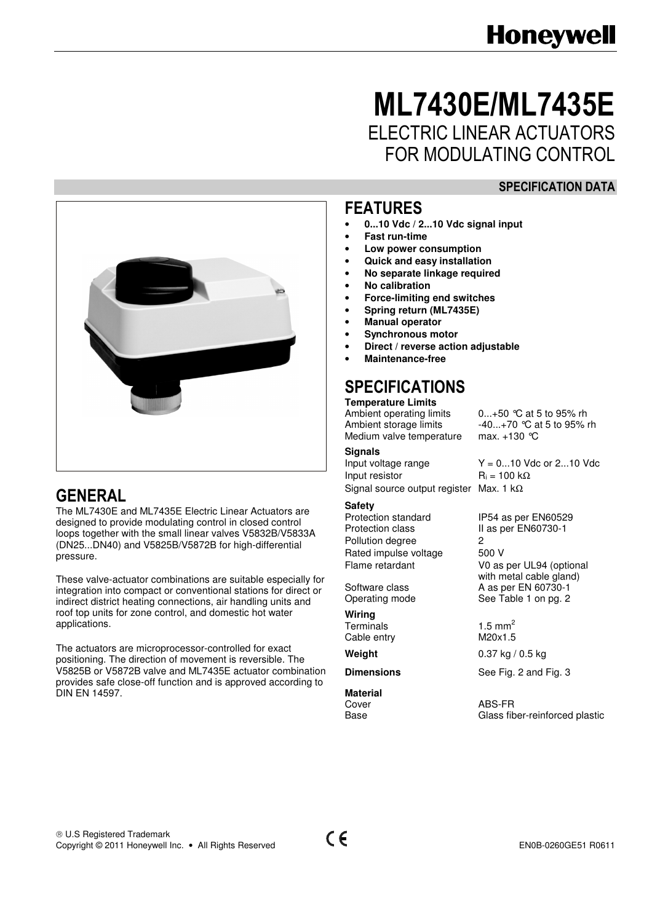# ML7430E/ML7435E ELECTRIC LINEAR ACTUATORS FOR MODULATING CONTROL

#### SPECIFICATION DATA



# GENERAL

The ML7430E and ML7435E Electric Linear Actuators are designed to provide modulating control in closed control loops together with the small linear valves V5832B/V5833A (DN25...DN40) and V5825B/V5872B for high-differential pressure.

These valve-actuator combinations are suitable especially for integration into compact or conventional stations for direct or indirect district heating connections, air handling units and roof top units for zone control, and domestic hot water applications.

The actuators are microprocessor-controlled for exact positioning. The direction of movement is reversible. The V5825B or V5872B valve and ML7435E actuator combination provides safe close-off function and is approved according to DIN EN 14597.

#### FEATURES

- **0...10 Vdc / 2...10 Vdc signal input**
- **Fast run-time**
- **Low power consumption**
- **Quick and easy installation**
- **No separate linkage required**
- **No calibration**
- **Force-limiting end switches**
- **Spring return (ML7435E)**
- **Manual operator**
- **Synchronous motor**
- **Direct / reverse action adjustable**
- **Maintenance-free**

### SPECIFICATIONS

# **Temperature Limits**

Medium valve temperature

#### **Signals**

Input voltage range  $Y = 0...10$  Vdc or 2...10 Vdc<br>Input resistor  $R_i = 100$  kΩ Input resistor Signal source output register Max. 1 kΩ

**Safety**<br>**Protection standard** Protection standard IP54 as per EN60529<br>Protection class II as per EN60730-1 Pollution degree 2 Rated impulse voltage 500 V

Operating mode See Table 1 on pg. 2

**Wiring**  Terminals  $1.5 \text{ mm}^2$ <br>Cable entry  $M20x1.5$ Cable entry

**Material** 

Ambient operating limits 0...+50 °C at 5 to 95% rh<br>Ambient storage limits 40...+70 °C at 5 to 95% i  $-40...+70$  °C at 5 to 95% rh<br>max. +130 °C

II as per EN60730-1 Flame retardant V0 as per UL94 (optional with metal cable gland)<br>Software class **ED** A as per EN 60730-1 A as per EN 60730-1

**Weight** 0.37 kg / 0.5 kg

**Dimensions** See Fig. 2 and Fig. 3

Cover ABS-FR<br>Base Glass fit Glass fiber-reinforced plastic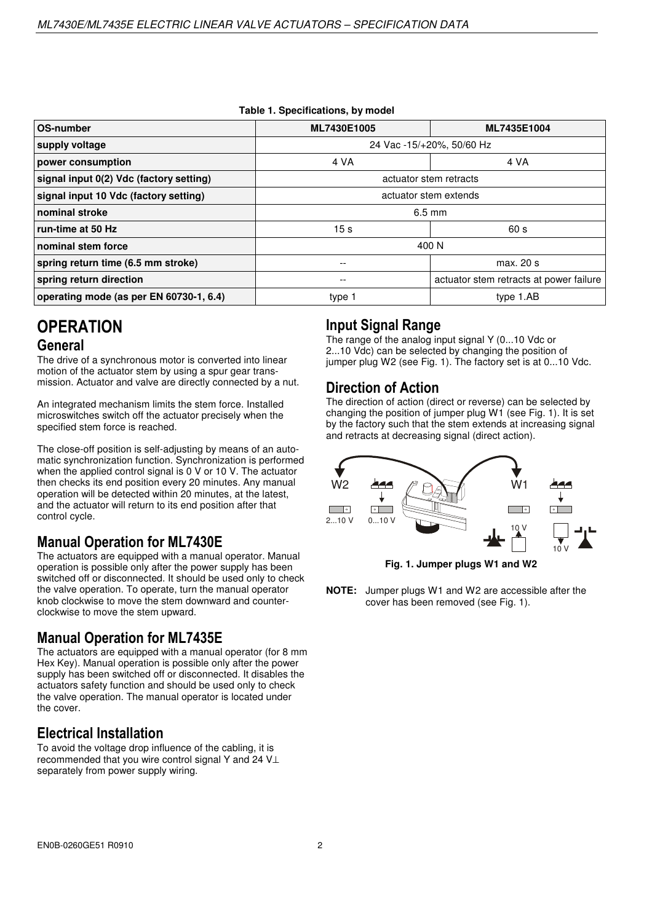| OS-number                               | ML7430E1005               | ML7435E1004                             |  |  |  |
|-----------------------------------------|---------------------------|-----------------------------------------|--|--|--|
| supply voltage                          | 24 Vac -15/+20%, 50/60 Hz |                                         |  |  |  |
| power consumption                       | 4 VA                      | 4 VA                                    |  |  |  |
| signal input 0(2) Vdc (factory setting) | actuator stem retracts    |                                         |  |  |  |
| signal input 10 Vdc (factory setting)   | actuator stem extends     |                                         |  |  |  |
| nominal stroke                          | $6.5 \text{ mm}$          |                                         |  |  |  |
| run-time at 50 Hz                       | 15 <sub>s</sub>           | 60 s                                    |  |  |  |
| nominal stem force                      | 400 N                     |                                         |  |  |  |
| spring return time (6.5 mm stroke)      | --                        | max. 20 s                               |  |  |  |
| spring return direction                 | --                        | actuator stem retracts at power failure |  |  |  |
| operating mode (as per EN 60730-1, 6.4) | type 1                    | type 1.AB                               |  |  |  |

#### **Table 1. Specifications, by model**

# **OPERATION** General

The drive of a synchronous motor is converted into linear motion of the actuator stem by using a spur gear transmission. Actuator and valve are directly connected by a nut.

An integrated mechanism limits the stem force. Installed microswitches switch off the actuator precisely when the specified stem force is reached.

The close-off position is self-adjusting by means of an automatic synchronization function. Synchronization is performed when the applied control signal is 0 V or 10 V. The actuator then checks its end position every 20 minutes. Any manual operation will be detected within 20 minutes, at the latest, and the actuator will return to its end position after that control cycle.

#### Manual Operation for ML7430E

The actuators are equipped with a manual operator. Manual operation is possible only after the power supply has been switched off or disconnected. It should be used only to check the valve operation. To operate, turn the manual operator knob clockwise to move the stem downward and counterclockwise to move the stem upward.

#### Manual Operation for ML7435E

The actuators are equipped with a manual operator (for 8 mm Hex Key). Manual operation is possible only after the power supply has been switched off or disconnected. It disables the actuators safety function and should be used only to check the valve operation. The manual operator is located under the cover.

#### Electrical Installation

To avoid the voltage drop influence of the cabling, it is recommended that you wire control signal Y and 24 V⊥ separately from power supply wiring.

#### Input Signal Range

The range of the analog input signal Y (0...10 Vdc or 2...10 Vdc) can be selected by changing the position of jumper plug W2 (see Fig. 1). The factory set is at 0...10 Vdc.

#### Direction of Action

The direction of action (direct or reverse) can be selected by changing the position of jumper plug W1 (see Fig. 1). It is set by the factory such that the stem extends at increasing signal and retracts at decreasing signal (direct action).



**Fig. 1. Jumper plugs W1 and W2** 

**NOTE:** Jumper plugs W1 and W2 are accessible after the cover has been removed (see Fig. 1).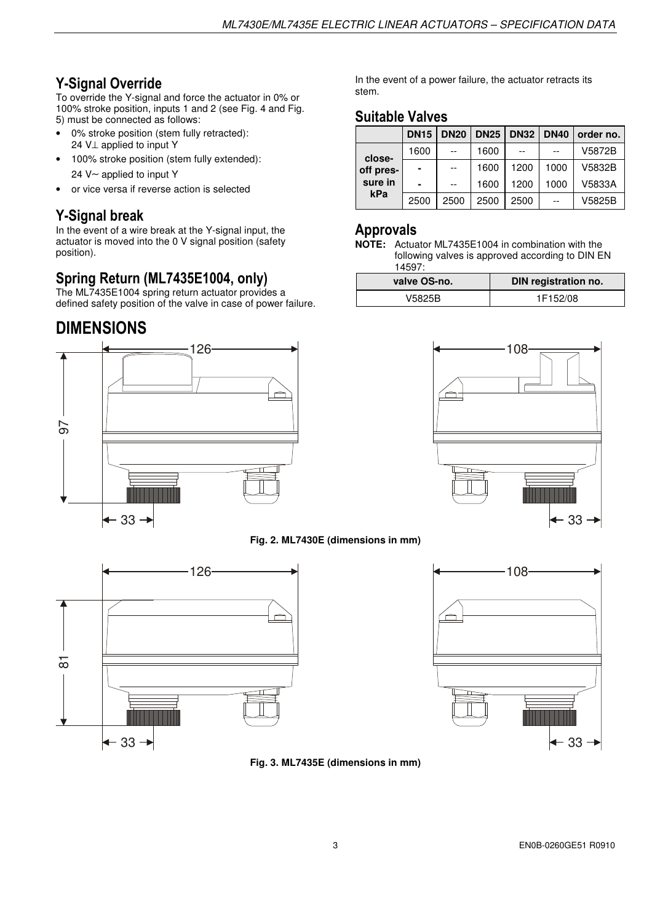# Y-Signal Override

To override the Y-signal and force the actuator in 0% or 100% stroke position, inputs 1 and 2 (see Fig. 4 and Fig. 5) must be connected as follows:

- 0% stroke position (stem fully retracted): 24 V⊥ applied to input Y
- 100% stroke position (stem fully extended): 24 V∼ applied to input Y
- or vice versa if reverse action is selected

### Y-Signal break

In the event of a wire break at the Y-signal input, the actuator is moved into the 0 V signal position (safety position).

#### Spring Return (ML7435E1004, only)

The ML7435E1004 spring return actuator provides a defined safety position of the valve in case of power failure.

# DIMENSIONS



In the event of a power failure, the actuator retracts its stem.

#### Suitable Valves

|           | <b>DN15</b>              | <b>DN20</b> | <b>DN25</b> | <b>DN32</b> |      | DN40 order no. |
|-----------|--------------------------|-------------|-------------|-------------|------|----------------|
| close-    | 1600                     |             | 1600        |             | $-$  | V5872B         |
| off pres- | $\blacksquare$           | $--$        | 1600        | 1200        | 1000 | V5832B         |
| sure in   | $\overline{\phantom{0}}$ | $- -$       | 1600        | 1200        | 1000 | V5833A         |
| kPa       | 2500                     | 2500        | 2500        | 2500        | $-$  | V5825B         |

#### Approvals

**NOTE:** Actuator ML7435E1004 in combination with the following valves is approved according to DIN EN 14597:

| valve OS-no. | DIN registration no. |
|--------------|----------------------|
| V5825B       | 1F152/08             |



#### **Fig. 2. ML7430E (dimensions in mm)**